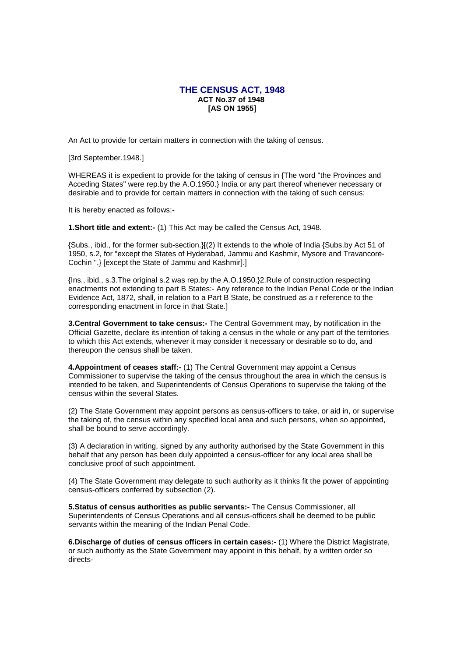## **THE CENSUS ACT, 1948 ACT No.37 of 1948 [AS ON 1955]**

An Act to provide for certain matters in connection with the taking of census.

[3rd September.1948.]

WHEREAS it is expedient to provide for the taking of census in {The word "the Provinces and Acceding States" were rep.by the A.O.1950.} India or any part thereof whenever necessary or desirable and to provide for certain matters in connection with the taking of such census;

It is hereby enacted as follows:-

**1.Short title and extent:-** (1) This Act may be called the Census Act, 1948.

{Subs., ibid., for the former sub-section.}[(2) It extends to the whole of India {Subs.by Act 51 of 1950, s.2, for "except the States of Hyderabad, Jammu and Kashmir, Mysore and Travancore-Cochin ".} [except the State of Jammu and Kashmir].]

{Ins., ibid., s.3.The original s.2 was rep.by the A.O.1950.}2.Rule of construction respecting enactments not extending to part B States:- Any reference to the Indian Penal Code or the Indian Evidence Act, 1872, shall, in relation to a Part B State, be construed as a r reference to the corresponding enactment in force in that State.]

**3.Central Government to take census:-** The Central Government may, by notification in the Official Gazette, declare its intention of taking a census in the whole or any part of the territories to which this Act extends, whenever it may consider it necessary or desirable so to do, and thereupon the census shall be taken.

**4.Appointment of ceases staff:-** (1) The Central Government may appoint a Census Commissioner to supervise the taking of the census throughout the area in which the census is intended to be taken, and Superintendents of Census Operations to supervise the taking of the census within the several States.

(2) The State Government may appoint persons as census-officers to take, or aid in, or supervise the taking of, the census within any specified local area and such persons, when so appointed, shall be bound to serve accordingly.

(3) A declaration in writing, signed by any authority authorised by the State Government in this behalf that any person has been duly appointed a census-officer for any local area shall be conclusive proof of such appointment.

(4) The State Government may delegate to such authority as it thinks fit the power of appointing census-officers conferred by subsection (2).

**5.Status of census authorities as public servants:-** The Census Commissioner, all Superintendents of Census Operations and all census-officers shall be deemed to be public servants within the meaning of the Indian Penal Code.

**6.Discharge of duties of census officers in certain cases:-** (1) Where the District Magistrate, or such authority as the State Government may appoint in this behalf, by a written order so directs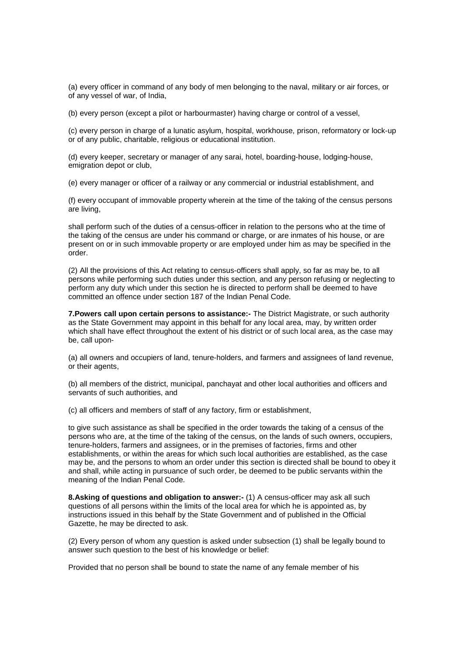(a) every officer in command of any body of men belonging to the naval, military or air forces, or of any vessel of war, of India,

(b) every person (except a pilot or harbourmaster) having charge or control of a vessel,

(c) every person in charge of a lunatic asylum, hospital, workhouse, prison, reformatory or lock-up or of any public, charitable, religious or educational institution.

(d) every keeper, secretary or manager of any sarai, hotel, boarding-house, lodging-house, emigration depot or club,

(e) every manager or officer of a railway or any commercial or industrial establishment, and

(f) every occupant of immovable property wherein at the time of the taking of the census persons are living,

shall perform such of the duties of a census-officer in relation to the persons who at the time of the taking of the census are under his command or charge, or are inmates of his house, or are present on or in such immovable property or are employed under him as may be specified in the order.

(2) All the provisions of this Act relating to census-officers shall apply, so far as may be, to all persons while performing such duties under this section, and any person refusing or neglecting to perform any duty which under this section he is directed to perform shall be deemed to have committed an offence under section 187 of the Indian Penal Code.

**7.Powers call upon certain persons to assistance:-** The District Magistrate, or such authority as the State Government may appoint in this behalf for any local area, may, by written order which shall have effect throughout the extent of his district or of such local area, as the case may be, call upon-

(a) all owners and occupiers of land, tenure-holders, and farmers and assignees of land revenue, or their agents,

(b) all members of the district, municipal, panchayat and other local authorities and officers and servants of such authorities, and

(c) all officers and members of staff of any factory, firm or establishment,

to give such assistance as shall be specified in the order towards the taking of a census of the persons who are, at the time of the taking of the census, on the lands of such owners, occupiers, tenure-holders, farmers and assignees, or in the premises of factories, firms and other establishments, or within the areas for which such local authorities are established, as the case may be, and the persons to whom an order under this section is directed shall be bound to obey it and shall, while acting in pursuance of such order, be deemed to be public servants within the meaning of the Indian Penal Code.

**8.Asking of questions and obligation to answer:-** (1) A census-officer may ask all such questions of all persons within the limits of the local area for which he is appointed as, by instructions issued in this behalf by the State Government and of published in the Official Gazette, he may be directed to ask.

(2) Every person of whom any question is asked under subsection (1) shall be legally bound to answer such question to the best of his knowledge or belief:

Provided that no person shall be bound to state the name of any female member of his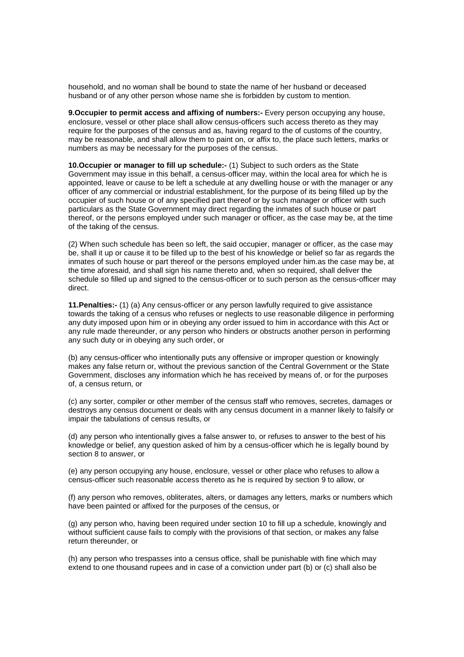household, and no woman shall be bound to state the name of her husband or deceased husband or of any other person whose name she is forbidden by custom to mention.

**9.Occupier to permit access and affixing of numbers:-** Every person occupying any house, enclosure, vessel or other place shall allow census-officers such access thereto as they may require for the purposes of the census and as, having regard to the of customs of the country, may be reasonable, and shall allow them to paint on, or affix to, the place such letters, marks or numbers as may be necessary for the purposes of the census.

**10.Occupier or manager to fill up schedule:-** (1) Subject to such orders as the State Government may issue in this behalf, a census-officer may, within the local area for which he is appointed, leave or cause to be left a schedule at any dwelling house or with the manager or any officer of any commercial or industrial establishment, for the purpose of its being filled up by the occupier of such house or of any specified part thereof or by such manager or officer with such particulars as the State Government may direct regarding the inmates of such house or part thereof, or the persons employed under such manager or officer, as the case may be, at the time of the taking of the census.

(2) When such schedule has been so left, the said occupier, manager or officer, as the case may be, shall it up or cause it to be filled up to the best of his knowledge or belief so far as regards the inmates of such house or part thereof or the persons employed under him.as the case may be, at the time aforesaid, and shall sign his name thereto and, when so required, shall deliver the schedule so filled up and signed to the census-officer or to such person as the census-officer may direct.

**11.Penalties:-** (1) (a) Any census-officer or any person lawfully required to give assistance towards the taking of a census who refuses or neglects to use reasonable diligence in performing any duty imposed upon him or in obeying any order issued to him in accordance with this Act or any rule made thereunder, or any person who hinders or obstructs another person in performing any such duty or in obeying any such order, or

(b) any census-officer who intentionally puts any offensive or improper question or knowingly makes any false return or, without the previous sanction of the Central Government or the State Government, discloses any information which he has received by means of, or for the purposes of, a census return, or

(c) any sorter, compiler or other member of the census staff who removes, secretes, damages or destroys any census document or deals with any census document in a manner likely to falsify or impair the tabulations of census results, or

(d) any person who intentionally gives a false answer to, or refuses to answer to the best of his knowledge or belief, any question asked of him by a census-officer which he is legally bound by section 8 to answer, or

(e) any person occupying any house, enclosure, vessel or other place who refuses to allow a census-officer such reasonable access thereto as he is required by section 9 to allow, or

(f) any person who removes, obliterates, alters, or damages any letters, marks or numbers which have been painted or affixed for the purposes of the census, or

(g) any person who, having been required under section 10 to fill up a schedule, knowingly and without sufficient cause fails to comply with the provisions of that section, or makes any false return thereunder, or

(h) any person who trespasses into a census office, shall be punishable with fine which may extend to one thousand rupees and in case of a conviction under part (b) or (c) shall also be